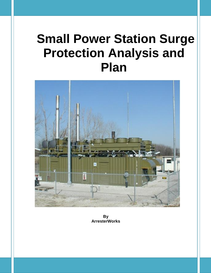# **Small Power Station Surge Protection Analysis and Plan**



**By ArresterWorks**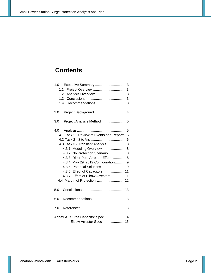## **Contents**

| 1.0                                                        |
|------------------------------------------------------------|
| 1.1                                                        |
| 1.2<br>Analysis Overview 3                                 |
| 1.3                                                        |
| Recommendations 3<br>1.4                                   |
| 2.0                                                        |
| Project Analysis Method 5<br>3.0                           |
|                                                            |
| 4.1 Task 1 - Review of Events and Reports5                 |
|                                                            |
| 4.3 Task 3 - Transient Analysis 8                          |
| 4.3.1 Modeling Overview  8                                 |
| 4.3.2 No Protection Scenario8                              |
| 4.3.3 Riser Pole Arrester Effect 8                         |
| 4.3.4 May 29, 2012 Configuration9                          |
| 4.3.5 Potential Solutions  10                              |
| 4.3.6 Effect of Capacitors 11                              |
| 4.3.7 Effect of Elbow Arresters  11                        |
| 4.4 Margin of Protection  12                               |
| 5.0                                                        |
| 6.0                                                        |
| 7.0                                                        |
| Annex A Surge Capacitor Spec  14<br>Elbow Arrester Spec 15 |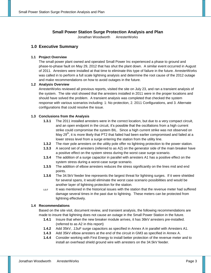## **Small Power Station Surge Protection Analysis and Plan**

Jonathan Woodworth ArresterWorks

## **1.0 Executive Summary**

#### **1.1 Project Overview**

The small power plant owned and operated Small Power Inc experienced a phase to ground and phase-to-phase fault on May 29, 2012 that has shut the plant down. A similar event occurred in August of 2011. Arresters were installed at that time to eliminate this type of failure in the future. ArresterWorks was called in to perform a full scale lightning analysis and determine the root cause of the 2012 outage and make recommendations on how to avoid outages in the future.

### **1.2 Analysis Overview**

ArresterWorks reviewed all previous reports, visited the site on July 23, and ran a transient analysis of the system. The site visit showed that the arresters installed in 2011 were in the proper locations and should have solved the problem. A transient analysis was completed that checked the system response with various scenarios including: 1: No protection, 2. 2011 Configurations, and 3. Alternate configurations that could resolve the issue.

### **1.3 Conclusions from the Analysis**

- **1.3.1** The 2011 installed arresters were in the correct location, but due to a very compact circuit, and an open endpoint in the circuit, it's possible that the oscillations from a high current strike could compromise the system BIL. Since a high current strike was not observed on May 29<sup>th</sup>, it is more likely that PT2 that failed had been earlier compromised and failed at a lower stress level from a surge entering the station from the utility line.
- **1.3.2** The riser pole arresters on the utility pole offer no lightning protection to the power station.
- **1.3.3** A second set of arresters (referred to as A2) on the generator side of the main breaker have a positive effect on the system stress during the worst case surge scenario.
- **1.3.4** The addition of a surge capacitor in parallel with arresters A1 has a positive effect on the system stress during a worst-case surge scenario.
- **1.3.5** The addition of elbow arresters reduces the stress significantly on the lines mid and end points.
- **1.3.6** The 34.5kV feeder line represents the largest threat for lightning surges. If it were shielded for several spans, it would eliminate the worst case scenario possibilities and would be another layer of lightning protection for the station.
- **1.3.7** It was mentioned in the historical issues with the station that the revenue meter had suffered damage several times in the past due to lightning. These meters can be protected from lightning effectively.

#### **1.4 Recommendations**

Based on the site visit, document review, and transient analysis, the following recommendations are made to insure that lightning does not cause an outage in the Small Power Station in the future.

- **1.4.1** Insure that when the new breaker module arrives, it has 36kV arresters pre-installed. (referred to as A2 in this report)
- **1.4.2** Add 35kV, .13uF surge capacitors as specified in Annex A in parallel with Arresters A1.
- **1.4.3** Add 35kV elbow arresters at the end of the circuit in GM3 as specified in Annex A.
- **1.4.4** Consider working with First Energy to install better protection of the revenue meter and to install an overhead shield ground wire with arresters on the 34.5kV feeder.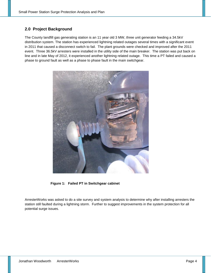## **2.0 Project Background**

The County landfill gas generating station is an 11 year old 3 MW, three unit generator feeding a 34.5kV distribution system. The station has experienced lightning related outages several times with a significant event in 2011 that caused a disconnect switch to fail. The plant grounds were checked and improved after the 2011 event. Three 36.5kV arresters were installed in the utility side of the main breaker. The station was put back on line and in late May of 2012, it experienced another lightning related outage. This time a PT failed and caused a phase to ground fault as well as a phase to phase fault in the main switchgear.



 **Figure 1: Failed PT in Switchgear cabinet**

ArresterWorks was asked to do a site survey and system analysis to determine why after installing arresters the station still faulted during a lightning storm. Further to suggest improvements in the system protection for all potential surge issues.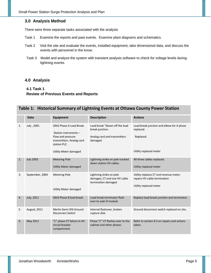## **3.0 Analysis Method**

There were three separate tasks associated with the analysis

- Task 1 Examine the reports and past events. Examine plant diagrams and schematics.
- Task 2 Visit the site and evaluate the events, installed equipment, take dimensional data, and discuss the events with personnel in the know.
- Task 3 Model and analyze the system with transient analysis software to check for voltage levels during lightning events.

## **4.0 Analysis**

## **4.1 Task 1 Review of Previous Events and Reports**

## **Table 1: Historical Summary of Lightning Events at Ottawa County Power Station**

|    | <b>Date</b>       | <b>Equipment</b>                                                                                                                                   | <b>Description</b>                                                                           | <b>Actions</b>                                                                                   |
|----|-------------------|----------------------------------------------------------------------------------------------------------------------------------------------------|----------------------------------------------------------------------------------------------|--------------------------------------------------------------------------------------------------|
| 1. | July, 2001        | GM2 Phase A Load Break.<br>Station instruments -<br>Flow and pressure<br>transmitters. Analog card<br>station PLC.<br><b>Utility Meter damaged</b> | Load break "blown off the load<br>break junction.<br>Analog card and transmitters<br>damaged | Load break junction and elbow for A phase<br>replaced.<br>Replaced.<br>Utility replaced meter    |
| 2. | <b>July 2003</b>  | <b>Metering Pole</b><br><b>Utility Meter damaged</b>                                                                                               | Lightning strike on pole tracked<br>down station HV cables                                   | All three cables replaced.<br>Utility replaced meter                                             |
| 3. | September, 2004   | <b>Metering Pole</b><br><b>Utility Meter damaged</b>                                                                                               | Lightning strike on pole<br>damages, CT and one HV cable<br>termination damaged              | Utility replaces CT and revenue meter.<br>repairs HV cable termination<br>Utility replaced meter |
| 4. | <b>July, 2011</b> | GM3 Phase B load break                                                                                                                             | Load break terminator flash<br>over to wall of module                                        | Replace load break junction and terminator.                                                      |
| 5. | August, 2011      | Merlin Gerin SF6 Ground<br><b>Disconnect Switch</b>                                                                                                | Internal flashover, broken<br>rupture disk.                                                  | Ground disconnect switch replaced on site.                                                       |
| 6. | May 2012          | "C" phase VT failure in HV<br>circuit breaker<br>compartment.                                                                                      | Phase "C" VT flashes over to the<br>cabinet and other phases                                 | Refer to section 8.3 on repairs and actions<br>taken.                                            |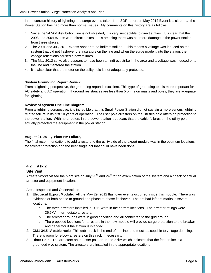In the concise history of lightning and surge events taken from SDR report on May 2012 Event it is clear that the Power Station has had more than normal issues. My comments on this history are as follows:

- 1. Since the 34.5kV distribution line is not shielded, it is very susceptible to direct strikes. It is clear that the 2003 and 2004 events were direct strikes. It is amazing there was not more damage in the power station from these strikes.
- 2. The 2001 and July 2011 events appear to be indirect strikes. This means a voltage was induced on the system that did not flashover the insulators on the line and when the surge made it into the station, the voltage reflections caused elbow failures.
- 3. The May 2012 strike also appears to have been an indirect strike in the area and a voltage was induced onto the line and it entered the station.
- 4. It is also clear that the meter on the utility pole is not adequately protected.

## **System Grounding Report Review**

From a lightning perspective, the grounding report is excellent. This type of grounding test is more important for AC safety and AC operation. If ground resistances are less than 5 ohms on masts and poles, they are adequate for lightning.

### **Review of System One Line Diagram**

From a lightning perspective, it is incredible that this Small Power Station did not sustain a more serious lightning related failure in its first 10 years of operation. The riser pole arresters on the Utilities pole offers no protection to the power station. With no arresters in the power station it appears that the cable failures on the utility pole actually protected the equipment in the power station.

## **August 21, 2011, Plant HV Failure,**

The final recommendations to add arresters to the utility side of the export module was in the optimum locations for arrester protection and the best single act that could have been done.

## **4.2 Task 2**

## **Site Visit**

ArresterWorks visited the plant site on July 23<sup>rd</sup> and 24<sup>th</sup> for an examination of the system and a check of actual arrester and equipment location.

Areas Inspected and Observations

- 1. **Electrical Export Module:** All the May 29, 2012 flashover events occurred inside this module. There was evidence of both phase to ground and phase to phase flashover. The arc had left arc marks in several locations.
	- a. The three arresters installed in 2011 were in the correct locations. The arrester ratings were 36.5kV Intermediate arresters.
	- b. The arrester grounds were in good condition and all connected to the grid ground.
	- c. The proposed locations for arresters in the new module will provide surge protection to the breaker and generator if the station is islanded.
- 2. **GM1 34.5kV cable rack:** This cable rack is the end of the line, and most susceptible to voltage doubling. There is room for elbow arresters on this rack if necessary.
- 3. **Riser Pole:** The arresters on the riser pole are rated 27kV which indicates that the feeder line is a grounded wye system. The arresters are installed in the appropriate locations.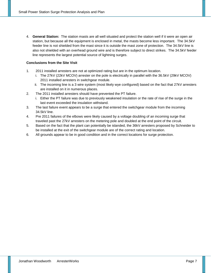4. **General Station:** The station masts are all well situated and protect the station well if it were an open air station, but because all the equipment is enclosed in metal, the masts become less important. The 34.5kV feeder line is not shielded from the mast since it is outside the mast zone of protection. The 34.5kV line is also not shielded with an overhead ground wire and is therefore subject to direct strikes. The 34.5kV feeder line represents the largest potential source of lightning surges.

## **Conclusions from the Site Visit**

- 1. 2011 installed arresters are not at optimized rating but are in the optimum location.
	- i. The 27kV (22kV MCOV) arrester on the pole is electrically in parallel with the 36.5kV (29kV MCOV) 2011 installed arresters in switchgear module.
	- ii. The incoming line is a 3 wire system (most likely wye configured) based on the fact that 27kV arresters are installed on it in numerous places.
- 2. The 2011 installed arresters should have prevented the PT failure.
	- i. Either the PT failure was due to previously weakened insulation or the rate of rise of the surge in the last event exceeded the insulation withstand.
- 3. The last failure event appears to be a surge that entered the switchgear module from the incoming 34.5kV line.
- 4. Pre 2011 failures of the elbows were likely caused by a voltage doubling of an incoming surge that traveled past the 27kV arresters on the metering pole and doubled at the end point of the circuit.
- 5. Based on the fact that the plant can potentially be islanded, the 36kV arresters proposed by Schneider to be installed at the exit of the switchgear module are of the correct rating and location.
- 6. All grounds appear to be in good condition and in the correct locations for surge protection.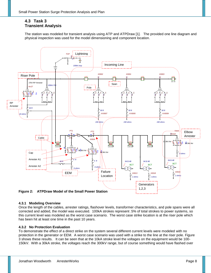## **4.3 Task 3 Transient Analysis**

The station was modeled for transient analysis using ATP and ATPDraw [1]. The provided one line diagram and physical inspection was used for the model dimensioning and component location.



## **4.3.1 Modeling Overview**

Once the length of the cables, arrester ratings, flashover levels, transformer characteristics, and pole spans were all corrected and added, the model was executed. 100kA strokes represent .5% of total strokes to power systems, so this current level was modeled as the worst case scenario. The worst case strike location is at the riser pole which has been hit at least one time in the past 10 years.

#### **4.3.2 No Protection Evaluation**

To demonstrate the effect of a direct strike on the system several different current levels were modeled with no protection in the generator or EEM. A worst case scenario was used with a strike to the line at the riser pole. Figure 3 shows these results. It can be seen that at the 10kA stroke level the voltages on the equipment would be 100- 150kV. With a 30kA stroke, the voltages reach the 300kV range, but of course something would have flashed over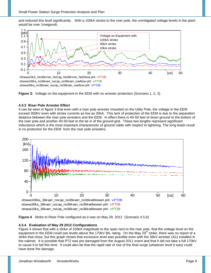and reduced this level significantly. With a 100kA stroke to the riser pole, the unmitigated voltage levels in the plant would be over 1megavolt.





### **4.3.3 Riser Pole Arrester Effect**

It can be seen in figure 3 that even with a riser pole arrester mounted on the Utiity Pole, the voltage in the EEM exceed 300kV even with stroke currents as low as 30kA. This lack of protection of the EEM is due to the separation distance between the riser pole arresters and the EEM. In effect there is 40-50 feet of down ground to the bottom of the riser pole and another 40-50 feet to the tie in of the ground grid. These two lengths represent significant inductance which is the most important characteristic of ground cable with respect to lightning. The long leads result in no protection for the EEM from the riser pole arresters.





#### **4.3.4 Evaluation of May 29 2012 Configurations**

Figure 4 shows that with a strike of 100kA magnitude to the span next to the riser pole, that the voltage level on the equipment in the EEM could see levels above the 170kV BIL rating. On the May 29<sup>th</sup> strike, there was no report of a strike that close, but this graph shows that excessive level was possible even with the 36kV arrester (A1) installed in the cabinet. It is possible that PT2 was pre damaged from the August 2011 event and that it did not take a full 170kV to cause it to fail this time. It could also be that the rapid rate of rise of the final surge (whatever level it was) could have done the damage.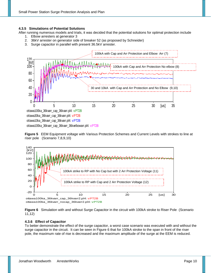#### **4.3.5 Simulations of Potential Solutions**

- After running numerous models and trials, it was decided that the potential solutions for optimal protection include
	- 1. Elbow arresters at generator 3
	- 2. 36kV arrester on generator side of breaker 52 (as proposed by Schneider)
	- 3. Surge capacitor in parallel with present 36.5kV arrester.







**Figure 6** Simulation with and without Surge Capacitor in the circuit with 100kA stroke to Riser Pole (Scenario 11,12)

#### **4.3.6 Effect of Capacitor**

To better demonstrate the effect of the surge capacitor, a worst case scenario was executed with and without the surge capacitor in the circuit. It can be seen in Figure 6 that for 100kA stroke to the span in front of the riser pole, the maximum rate of rise is decreased and the maximum amplitude of the surge at the EEM is reduced.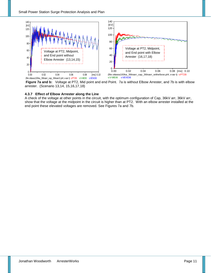

**Figure 7a and b:** Voltage at PT2, Mid point and end Point. 7a is without Elbow Arrester, and 7b is with elbow arrester. (Scenario 13,14, 15,16,17,18)

## **4.3.7 Effect of Elbow Arrester along the Line**

A check of the voltage at other points in the circuit, with the optimum configuration of Cap, 36kV arr, 36kV arr, show that the voltage at the midpoint in the circuit is higher than at PT2. With an elbow arrester installed at the end point these elevated voltages are removed. See Figures 7a and 7b.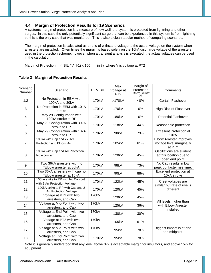## **4.4 Margin of Protection Results for 19 Scenarios**

A systems margin of protection is a measure of how well the system is protected from lightning and other surges. In this case the only potentially significant surge that can be experienced in this system is from lightning so this is the only case that was monitored. This is also a clean tabular method of comparing scenarios.

The margin of protection is calculated as a ratio of withstand voltage to the actual voltage on the system when arresters are installed. Often times the margin is based solely on the 10kA discharge voltage of the arresters used in the protection scheme, however when a transient analysis is executed, the actual voltages can be used in the calculation.

Margin of Protection =  $([BIL/V J-1)x 100 = in % where V is voltage at PT2$ 

| Scenario<br>Number | Scenario                                                            | <b>EEM BIL</b>     | Max<br>Voltage at<br>PT <sub>2</sub> | Margin of<br>Protection<br>([BIL / V ]-1) x 100<br>$(\%)$ | Comments                                                              |
|--------------------|---------------------------------------------------------------------|--------------------|--------------------------------------|-----------------------------------------------------------|-----------------------------------------------------------------------|
| 1,2                | No Protection in EEM with<br>100kA and 30kA                         | 170kV              | >170kV                               | $<0\%$                                                    | Certain Flashover                                                     |
| 3                  | No Protection in EEM with 10kA<br>stroke                            | 170kV              | 170kV                                | 0%                                                        | <b>High Risk of Flashover</b>                                         |
| $\overline{4}$     | May 29 Configuration with<br>100kA stroke to RP                     | 170kV              | 180kV                                | 0%                                                        | <b>Potential Flashover</b>                                            |
| 5                  | May 29 Configuration with 30kA<br>stroke to RP                      | 170kV              | 118kV                                | 44%                                                       | Reasonable protection                                                 |
| 6                  | May 29 Configuration with 10kA<br>stroke to RP                      | 170kV              | 98kV                                 | 73%                                                       | <b>Excellent Protection at</b><br>10kA                                |
| $\overline{7}$     | 100kA with Cap and 2x Arr<br>Protection and Elbow Arr               | 170kV              | 105kV                                | 61%                                                       | <b>Elbow Arrester improves</b><br>voltage level marginally<br>at PT2  |
| 8                  | 100kA with Cap and Arr Protection<br>No elbow arr                   | 170kV              | 120kV                                | 45%                                                       | Oscillations are evident<br>at this location due to<br>open end point |
| 9                  | Two 36kA arresters with no<br>"Elbow arrester at 30kA               | 170kV              | 98kV                                 | 73%                                                       | No Cap results in low<br>peak but faster rise time.                   |
| 10                 | Two 36kA arresters with cap no<br>"Elbow arrester at 10kA           | 170 <sub>k</sub> V | 90 <sub>k</sub> V                    | 88%                                                       | Excellent protection at<br>10kA stroke                                |
| 11                 | 100kA strike to RP with No Cap but<br>with 2 Arr Protection Voltage | 170kV              | 122kV                                | 45%                                                       | Crest voltages are<br>similar but rate of rise is                     |
| 12                 | 100kA strike to RP with Cap and 2<br><b>Arr Protection Voltage</b>  | 170kV              | 120kV                                | 45%                                                       | different                                                             |
| 13                 | Voltage at PT2 with two<br>arresters, and Cap                       | 170kV              | 120kV                                | 45%                                                       |                                                                       |
| 14                 | Voltage at Mid-Point with two<br>arresters, and Cap                 | 170kV              | 125kV                                | 36%                                                       | All levels higher than<br>with Elbow Arrester<br>installed            |
| 15                 | Voltage at End Point with two<br>arresters, and Cap                 | 170kV              | 130kV                                | 30%                                                       |                                                                       |
| 16                 | Voltage at PT2 with two<br>arresters, and Cap                       | 170kV              | 105kV                                | 61%                                                       |                                                                       |
| 17                 | Voltage at Mid-Point with two<br>arresters, and Cap                 | 170kV              | 95kV                                 | 78%                                                       | Biggest impact is at end<br>and midpoint.                             |
| 18                 | Voltage at End Point with two<br>arresters, and Cap                 | 170kV              | 95kV                                 | 78%                                                       |                                                                       |

## **Table 2 Margin of Protection Results**

Note it is generally understood that any level above 0% is acceptable margin for insulators, and above 15% for equipment.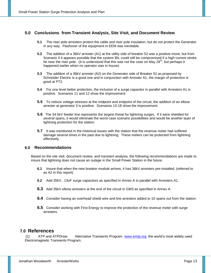## **5.0 Conclusions from Transient Analysis, Site Visit, and Document Review**

- **5.1** The riser pole arresters protect the cable and riser pole insulation, but do not protect the Generator in any way. Flashover of the equipment in EEM was inevitable.
- **5.2** The addition of a 36kV arrester (A1) at the utility side of breaker 52 was a positive move, but from Scenario 4 it appears possible that the system BIL could still be compromised if a high current stroke hit near the riser pole. (It is understood that this was not the case on May  $29<sup>th</sup>$ , but perhaps it happened earlier when no operator was in house)
- **5.3** The addition of a 36kV arrester (A2) on the Generator side of Breaker 52 as proposed by Schneider Electric is a good one and in conjunction with Arrester A1, the margin of protection is good at PT2.
- **5.4** For one level better protection, the inclusion of a surge capacitor in parallel with Arresters A1 is positive. Scenarios 11 and 12 show the improvement.
- **5.5** To reduce voltage stresses at the midpoint and endpoint of the circuit, the addition of an elbow arrester at generator 3 is positive. Scenarios 13-18 show the improvement.
- **5.6** The 34.5kV feeder line represents the largest threat for lightning surges. If it were shielded for several spans, it would eliminate the worst case scenario possibilities and would be another layer of lightning protection for the station.
- **5.7** It was mentioned in the historical issues with the station that the revenue meter had suffered damage several times in the past due to lightning. These meters can be protected from lightning effectively.

## **6.0 Recommendations**

Based on the site visit, document review, and transient analysis, the following recommendations are made to insure that lightning does not cause an outage in the Small Power Station in the future.

- **6.1** Insure that when the new breaker module arrives, it has 36kV arresters pre-installed. (referred to as A2 in this report)
- **6.2** Add 35kV, .13uF surge capacitors as specified in Annex A in parallel with Arresters A1.
- **6.3** Add 35kV elbow arresters at the end of the circuit in GM3 as specified in Annex A.
- **6.4** Consider having an overhead shield wire and line arresters added to 10 spans out from the station.
- **6.5** Consider working with First Energy to improve the protection of the revenue meter with surge arresters.

## **7.0 References**

[1] ATP and ATPDraw Alternative Transients Program [www.emtp.org](http://www.emtp.org/) the world's most widely used Electromagnetic Transients Program.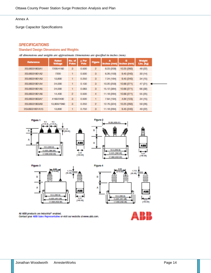#### Annex A

Surge Capacitor Specifications

## **SPECIFICATIONS**

### **Standard Design Dimensions and Weights**

All dimensions and weights are approximate. Dimensions are specified in inches (mm).

| Reference           | Rated<br><b>Voltage</b> | No. of<br><b>Poles</b> | <b>JL Per</b><br>Pole | <b>Figure</b>  | А<br>Inches (mm)   Inches (mm) | в           | <b>Weight</b><br>Libs. (kg) |
|---------------------|-------------------------|------------------------|-----------------------|----------------|--------------------------------|-------------|-----------------------------|
| 2GUS031803A1        | 7200/4160               | з                      | 0.500                 | $\mathbf{2}$   | 8.23 (209)                     | 10.25 (260) | 48 (22)                     |
| 2GUS031801A2        | 7200                    |                        | 0.500                 | 3              | 6.26 (159)                     | 9.45(240)   | 30(14)                      |
| 2GUS031801A3        | <b>13,800</b>           |                        | 0.250                 | 3              | 7.24 (184)                     | 9.45(240)   | 34(15)                      |
| 2GUS031801A4        | 24,000                  |                        | 0.130                 | 3              | 10.20 (259)                    | 10.66 (271) | 47(21)                      |
| 2GUS031801A5        | 24,000                  |                        | 0.083                 | 3              | 15.12 (384)                    | 10.66 (271) | 66 (30)                     |
| 2GUS031801A6        | 14,400                  | 2                      | 0.500                 | 4              | 11.18 (284)                    | 10.66 (271) | 55 (25)                     |
| <b>2GUS031B03A7</b> | 4160/2400               | 3                      | 0.500                 | 1              | 7.64 (194)                     | 4.84 (123)  | 34(15)                      |
| 2GUS031803A9        | 13,800/7960             | 3                      | 0.250                 | $\overline{2}$ | 12.76 (324)                    | 10.25 (260) | 59 (26)                     |
| 2GUS031801A15       | <b>13,800</b>           |                        | 0.760                 | $\mathbf{a}$   | 11.18 (284)                    | 9.45(240)   | 49 (22)                     |









All ABB products are industrial<sup>3</sup> enabled. Contact your ABB Sales Representative or visit our website at www.abb.com.